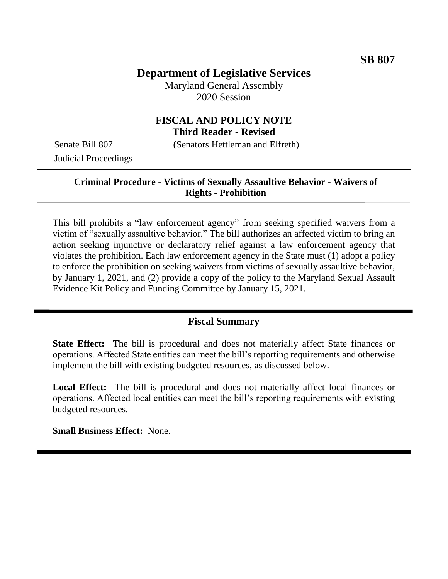# **Department of Legislative Services**

Maryland General Assembly 2020 Session

### **FISCAL AND POLICY NOTE Third Reader - Revised**

Judicial Proceedings

Senate Bill 807 (Senators Hettleman and Elfreth)

#### **Criminal Procedure - Victims of Sexually Assaultive Behavior - Waivers of Rights - Prohibition**

This bill prohibits a "law enforcement agency" from seeking specified waivers from a victim of "sexually assaultive behavior." The bill authorizes an affected victim to bring an action seeking injunctive or declaratory relief against a law enforcement agency that violates the prohibition. Each law enforcement agency in the State must (1) adopt a policy to enforce the prohibition on seeking waivers from victims of sexually assaultive behavior, by January 1, 2021, and (2) provide a copy of the policy to the Maryland Sexual Assault Evidence Kit Policy and Funding Committee by January 15, 2021.

#### **Fiscal Summary**

**State Effect:** The bill is procedural and does not materially affect State finances or operations. Affected State entities can meet the bill's reporting requirements and otherwise implement the bill with existing budgeted resources, as discussed below.

Local Effect: The bill is procedural and does not materially affect local finances or operations. Affected local entities can meet the bill's reporting requirements with existing budgeted resources.

**Small Business Effect:** None.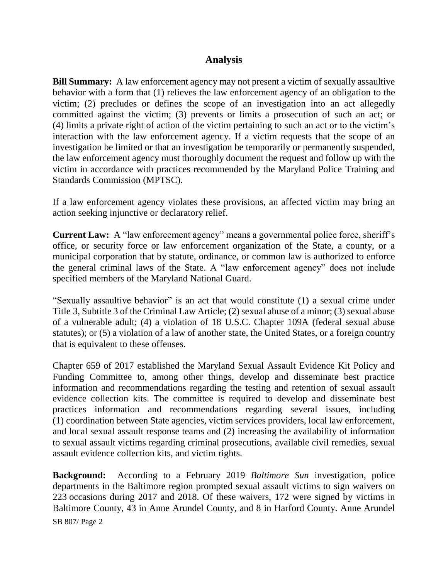### **Analysis**

**Bill Summary:** A law enforcement agency may not present a victim of sexually assaultive behavior with a form that (1) relieves the law enforcement agency of an obligation to the victim; (2) precludes or defines the scope of an investigation into an act allegedly committed against the victim; (3) prevents or limits a prosecution of such an act; or (4) limits a private right of action of the victim pertaining to such an act or to the victim's interaction with the law enforcement agency. If a victim requests that the scope of an investigation be limited or that an investigation be temporarily or permanently suspended, the law enforcement agency must thoroughly document the request and follow up with the victim in accordance with practices recommended by the Maryland Police Training and Standards Commission (MPTSC).

If a law enforcement agency violates these provisions, an affected victim may bring an action seeking injunctive or declaratory relief.

**Current Law:** A "law enforcement agency" means a governmental police force, sheriff's office, or security force or law enforcement organization of the State, a county, or a municipal corporation that by statute, ordinance, or common law is authorized to enforce the general criminal laws of the State. A "law enforcement agency" does not include specified members of the Maryland National Guard.

"Sexually assaultive behavior" is an act that would constitute (1) a sexual crime under Title 3, Subtitle 3 of the Criminal Law Article; (2) sexual abuse of a minor; (3) sexual abuse of a vulnerable adult; (4) a violation of 18 U.S.C. Chapter 109A (federal sexual abuse statutes); or (5) a violation of a law of another state, the United States, or a foreign country that is equivalent to these offenses.

Chapter 659 of 2017 established the Maryland Sexual Assault Evidence Kit Policy and Funding Committee to, among other things, develop and disseminate best practice information and recommendations regarding the testing and retention of sexual assault evidence collection kits. The committee is required to develop and disseminate best practices information and recommendations regarding several issues, including (1) coordination between State agencies, victim services providers, local law enforcement, and local sexual assault response teams and (2) increasing the availability of information to sexual assault victims regarding criminal prosecutions, available civil remedies, sexual assault evidence collection kits, and victim rights.

SB 807/ Page 2 **Background:** According to a February 2019 *Baltimore Sun* investigation, police departments in the Baltimore region prompted sexual assault victims to sign waivers on 223 occasions during 2017 and 2018. Of these waivers, 172 were signed by victims in Baltimore County, 43 in Anne Arundel County, and 8 in Harford County. Anne Arundel